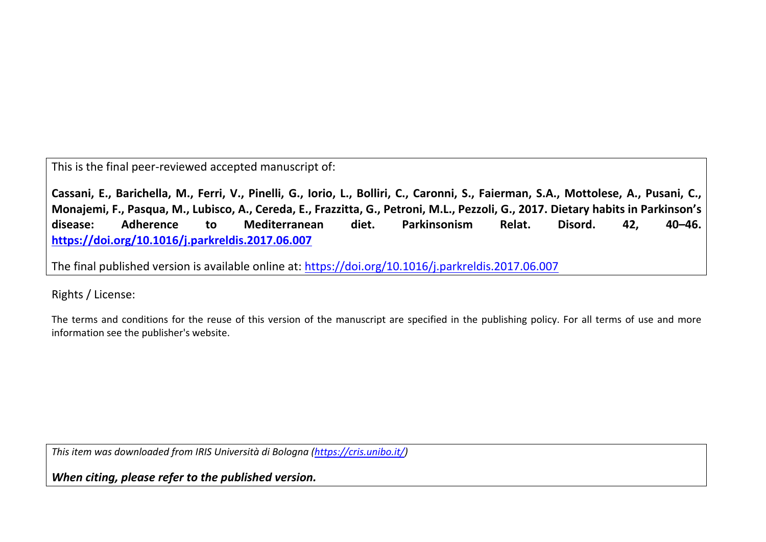This is the final peer-reviewed accepted manuscript of:

**Cassani, E., Barichella, M., Ferri, V., Pinelli, G., Iorio, L., Bolliri, C., Caronni, S., Faierman, S.A., Mottolese, A., Pusani, C., Monajemi, F., Pasqua, M., Lubisco, A., Cereda, E., Frazzitta, G., Petroni, M.L., Pezzoli, G., 2017. Dietary habits in Parkinson's disease: Adherence to Mediterranean diet. Parkinsonism Relat. Disord. 42, 40–46. <https://doi.org/10.1016/j.parkreldis.2017.06.007>**

The final published version is available online at: <https://doi.org/10.1016/j.parkreldis.2017.06.007>

Rights / License:

The terms and conditions for the reuse of this version of the manuscript are specified in the publishing policy. For all terms of use and more information see the publisher's website.

*This item was downloaded from IRIS Università di Bologna [\(https://cris.unibo.it/\)](https://cris.unibo.it/)*

*When citing, please refer to the published version.*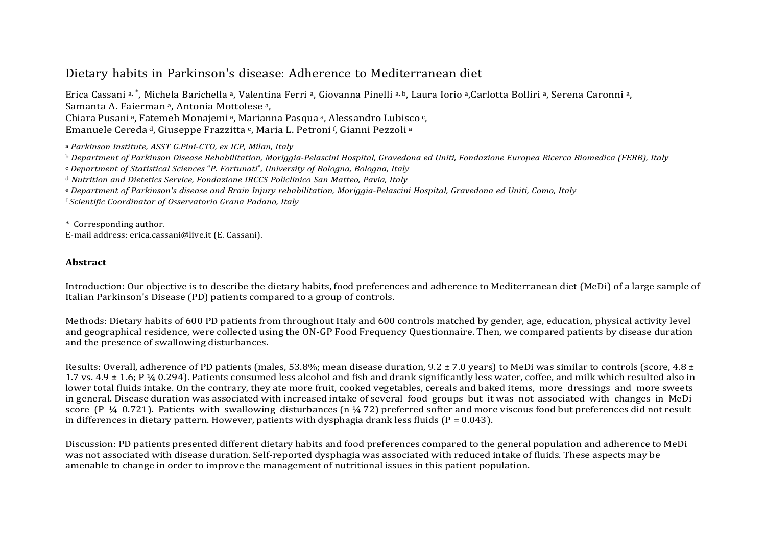# Dietary habits in Parkinson's disease: Adherence to Mediterranean diet

Erica Cassani [a,](#page-1-0) \*, Michela Barichella a, Valentina Ferri a, Giovanna Pinelli a, [b,](#page-1-1) Laura Iorio a,Carlotta Bolliri a, Serena Caronni a, Samanta A. Faierman<sup>a</sup>, Antonia Mottolese<sup>a</sup>, Chiara Pusani [a,](#page-1-0) Fatemeh Monajemi [a,](#page-1-0) Marianna Pasqua [a,](#page-1-0) [Al](#page-1-5)essandro Lubisco [c,](#page-1-2) Em[a](#page-1-0)nuele Cereda <sup>d</sup>, Giuseppe Frazzitta <sup>e</sup>, Maria L. Petroni <sup>†</sup>, Gianni Pezzoli <sup>a</sup>

<span id="page-1-0"></span><sup>a</sup> *Parkinson Institute, ASST G.Pini-CTO, ex ICP, Milan, Italy*

<span id="page-1-1"></span>b Department of Parkinson Disease Rehabilitation, Moriggia-Pelascini Hospital, Gravedona ed Uniti, Fondazione Europea Ricerca Biomedica (FERB), Italy

<span id="page-1-2"></span><sup>c</sup> *Department of Statistical Sciences* "*P. Fortunati*"*, University of Bologna, Bologna, Italy*

<span id="page-1-3"></span><sup>d</sup> *Nutrition and Dietetics Service, Fondazione IRCCS Policlinico San Matteo, Pavia, Italy*

<span id="page-1-5"></span><span id="page-1-4"></span>e Department of Parkinson's disease and Brain Injury rehabilitation. Moriagia-Pelascini Hospital. Gravedona ed Uniti. Como. Italy

<sup>f</sup> *Scientific Coordinator of Osservatorio Grana Padano, Italy*

\* Corresponding author.

E-mail address: erica.cassani@live.it (E. Cassani).

### **Abstract**

Introduction: Our objective is to describe the dietary habits, food preferences and adherence to Mediterranean diet (MeDi) of a large sample of Italian Parkinson's Disease (PD) patients compared to a group of controls.

Methods: Dietary habits of 600 PD patients from throughout Italy and 600 controls matched by gender, age, education, physical activity level and geographical residence, were collected using the ON-GP Food Frequency Questionnaire. Then, we compared patients by disease duration and the presence of swallowing disturbances.

Results: Overall, adherence of PD patients (males, 53.8%; mean disease duration,  $9.2 \pm 7.0$  years) to MeDi was similar to controls (score,  $4.8 \pm$ 1.7 vs.  $4.9 \pm 1.6$ ; P ¼ 0.294). Patients consumed less alcohol and fish and drank significantly less water, coffee, and milk which resulted also in lower total fluids intake. On the contrary, they ate more fruit, cooked vegetables, cereals and baked items, more dressings and more sweets in general. Disease duration was associated with increased intake of several food groups but it was not associated with changes in MeDi score (P  $\frac{1}{4}$  0.721). Patients with swallowing disturbances (n  $\frac{1}{4}$  72) preferred softer and more viscous food but preferences did not result in differences in dietary pattern. However, patients with dysphagia drank less fluids ( $P = 0.043$ ).

Discussion: PD patients presented different dietary habits and food preferences compared to the general population and adherence to MeDi was not associated with disease duration. Self-reported dysphagia was associated with reduced intake of fluids. These aspects may be amenable to change in order to improve the management of nutritional issues in this patient population.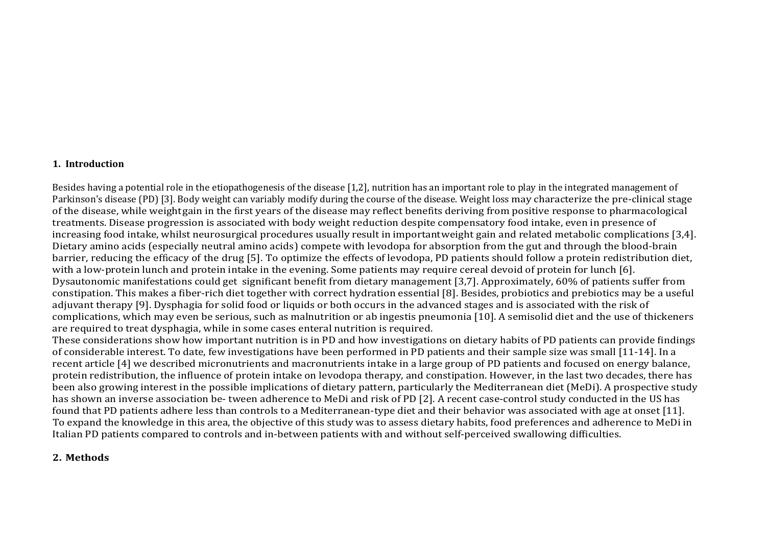#### **1. Introduction**

Besides having a potential role in the etiopathogenesis of the disease [1,2], nutrition has an important role to play in the integrated management of Parkinson's disease (PD) [3]. Body weight can variably modify during the course of the disease. Weight loss may characterize the pre-clinical stage of the disease, while weightgain in the first years of the disease may reflect benefits deriving from positive response to pharmacological treatments. Disease progression is associated with body weight reduction despite compensatory food intake, even in presence of increasing food intake, whilst neurosurgical procedures usually result in importantweight gain and related metabolic complications [3,4]. Dietary amino acids (especially neutral amino acids) compete with levodopa for absorption from the gut and through the blood-brain barrier, reducing the efficacy of the drug [5]. To optimize the effects of levodopa, PD patients should follow a protein redistribution diet, with a low-protein lunch and protein intake in the evening. Some patients may require cereal devoid of protein for lunch [6]. Dysautonomic manifestations could get significant benefit from dietary management [3,7]. Approximately, 60% of patients suffer from constipation. This makes a fiber-rich diet together with correct hydration essential [8]. Besides, probiotics and prebiotics may be a useful adjuvant therapy [9]. Dysphagia for solid food or liquids or both occurs in the advanced stages and is associated with the risk of complications, which may even be serious, such as malnutrition or ab ingestis pneumonia [10]. A semisolid diet and the use of thickeners are required to treat dysphagia, while in some cases enteral nutrition is required.

These considerations show how important nutrition is in PD and how investigations on dietary habits of PD patients can provide findings of considerable interest. To date, few investigations have been performed in PD patients and their sample size was small [11-14]. In a recent article [4] we described micronutrients and macronutrients intake in a large group of PD patients and focused on energy balance, protein redistribution, the influence of protein intake on levodopa therapy, and constipation. However, in the last two decades, there has been also growing interest in the possible implications of dietary pattern, particularly the Mediterranean diet (MeDi). A prospective study has shown an inverse association be- tween adherence to MeDi and risk of PD [2]. A recent case-control study conducted in the US has found that PD patients adhere less than controls to a Mediterranean-type diet and their behavior was associated with age at onset [11]. To expand the knowledge in this area, the objective of this study was to assess dietary habits, food preferences and adherence to MeDi in Italian PD patients compared to controls and in-between patients with and without self-perceived swallowing difficulties.

#### **2. Methods**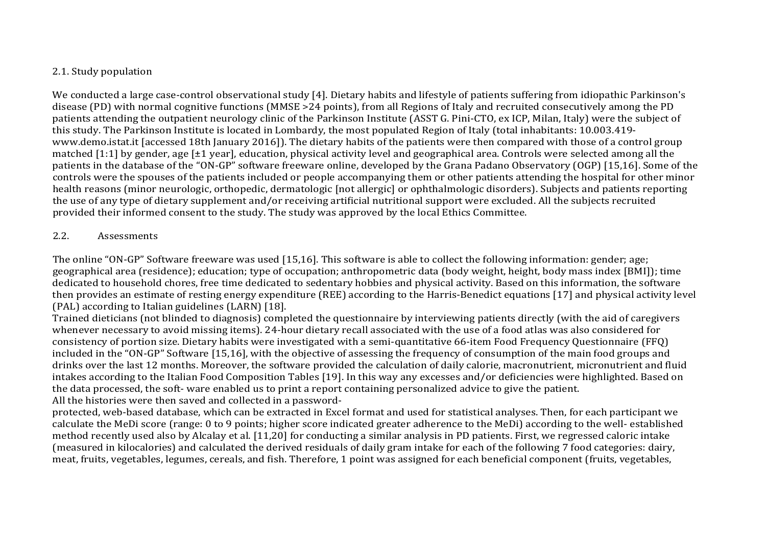## 2.1. Study population

We conducted a large case-control observational study [4]. Dietary habits and lifestyle of patients suffering from idiopathic Parkinson's disease (PD) with normal cognitive functions (MMSE >24 points), from all Regions of Italy and recruited consecutively among the PD patients attending the outpatient neurology clinic of the Parkinson Institute (ASST G. Pini-CTO, ex ICP, Milan, Italy) were the subject of this study. The Parkinson Institute is located in Lombardy, the most populated Region of Italy (total inhabitants: 10.003.419 www.demo.istat.it [accessed 18th January 2016]). The dietary habits of the patients were then compared with those of a control group matched [1:1] by gender, age [±1 year], education, physical activity level and geographical area. Controls were selected among all the patients in the database of the "ON-GP" software freeware online, developed by the Grana Padano Observatory (OGP) [15,16]. Some of the controls were the spouses of the patients included or people accompanying them or other patients attending the hospital for other minor health reasons (minor neurologic, orthopedic, dermatologic [not allergic] or ophthalmologic disorders). Subjects and patients reporting the use of any type of dietary supplement and/or receiving artificial nutritional support were excluded. All the subjects recruited provided their informed consent to the study. The study was approved by the local Ethics Committee.

## 2.2. Assessments

The online "ON-GP" Software freeware was used [15,16]. This software is able to collect the following information: gender; age; geographical area (residence); education; type of occupation; anthropometric data (body weight, height, body mass index [BMI]); time dedicated to household chores, free time dedicated to sedentary hobbies and physical activity. Based on this information, the software then provides an estimate of resting energy expenditure (REE) according to the Harris-Benedict equations [17] and physical activity level (PAL) according to Italian guidelines (LARN) [18].

Trained dieticians (not blinded to diagnosis) completed the questionnaire by interviewing patients directly (with the aid of caregivers whenever necessary to avoid missing items). 24-hour dietary recall associated with the use of a food atlas was also considered for consistency of portion size. Dietary habits were investigated with a semi-quantitative 66-item Food Frequency Questionnaire (FFQ) included in the "ON-GP" Software [15,16], with the objective of assessing the frequency of consumption of the main food groups and drinks over the last 12 months. Moreover, the software provided the calculation of daily calorie, macronutrient, micronutrient and fluid intakes according to the Italian Food Composition Tables [19]. In this way any excesses and/or deficiencies were highlighted. Based on the data processed, the soft- ware enabled us to print a report containing personalized advice to give the patient. All the histories were then saved and collected in a password-

protected, web-based database, which can be extracted in Excel format and used for statistical analyses. Then, for each participant we calculate the MeDi score (range: 0 to 9 points; higher score indicated greater adherence to the MeDi) according to the well- established method recently used also by Alcalay et al. [11,20] for conducting a similar analysis in PD patients. First, we regressed caloric intake (measured in kilocalories) and calculated the derived residuals of daily gram intake for each of the following 7 food categories: dairy, meat, fruits, vegetables, legumes, cereals, and fish. Therefore, 1 point was assigned for each beneficial component (fruits, vegetables,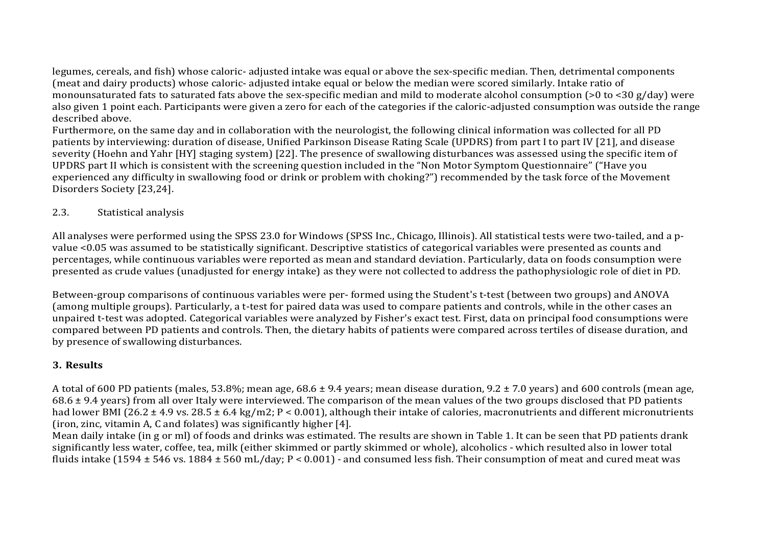legumes, cereals, and fish) whose caloric- adjusted intake was equal or above the sex-specific median. Then, detrimental components (meat and dairy products) whose caloric- adjusted intake equal or below the median were scored similarly. Intake ratio of monounsaturated fats to saturated fats above the sex-specific median and mild to moderate alcohol consumption (>0 to <30 g/day) were also given 1 point each. Participants were given a zero for each of the categories if the caloric-adjusted consumption was outside the range described above.

Furthermore, on the same day and in collaboration with the neurologist, the following clinical information was collected for all PD patients by interviewing: duration of disease, Unified Parkinson Disease Rating Scale (UPDRS) from part I to part IV [21], and disease severity (Hoehn and Yahr [HY] staging system) [22]. The presence of swallowing disturbances was assessed using the specific item of UPDRS part II which is consistent with the screening question included in the "Non Motor Symptom Questionnaire" ("Have you experienced any difficulty in swallowing food or drink or problem with choking?") recommended by the task force of the Movement Disorders Society [23,24].

## 2.3. Statistical analysis

All analyses were performed using the SPSS 23.0 for Windows (SPSS Inc., Chicago, Illinois). All statistical tests were two-tailed, and a pvalue <0.05 was assumed to be statistically significant. Descriptive statistics of categorical variables were presented as counts and percentages, while continuous variables were reported as mean and standard deviation. Particularly, data on foods consumption were presented as crude values (unadjusted for energy intake) as they were not collected to address the pathophysiologic role of diet in PD.

Between-group comparisons of continuous variables were per- formed using the Student's t-test (between two groups) and ANOVA (among multiple groups). Particularly, a t-test for paired data was used to compare patients and controls, while in the other cases an unpaired t-test was adopted. Categorical variables were analyzed by Fisher's exact test. First, data on principal food consumptions were compared between PD patients and controls. Then, the dietary habits of patients were compared across tertiles of disease duration, and by presence of swallowing disturbances.

# **3. Results**

A total of 600 PD patients (males, 53.8%; mean age, 68.6 ± 9.4 years; mean disease duration, 9.2 ± 7.0 years) and 600 controls (mean age,  $68.6 \pm 9.4$  years) from all over Italy were interviewed. The comparison of the mean values of the two groups disclosed that PD patients had lower BMI (26.2 ± 4.9 vs. 28.5 ± 6.4 kg/m2; P < 0.001), although their intake of calories, macronutrients and different micronutrients (iron, zinc, vitamin A, C and folates) was significantly higher [4].

Mean daily intake (in g or ml) of foods and drinks was estimated. The results are shown in Table 1. It can be seen that PD patients drank significantly less water, coffee, tea, milk (either skimmed or partly skimmed or whole), alcoholics - which resulted also in lower total fluids intake (1594  $\pm$  546 vs. 1884  $\pm$  560 mL/day; P < 0.001) - and consumed less fish. Their consumption of meat and cured meat was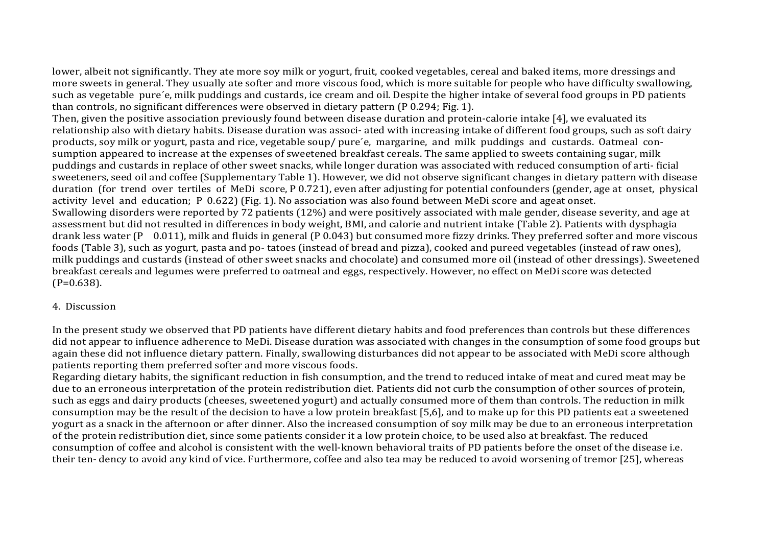lower, albeit not significantly. They ate more soy milk or yogurt, fruit, cooked vegetables, cereal and baked items, more dressings and more sweets in general. They usually ate softer and more viscous food, which is more suitable for people who have difficulty swallowing, such as vegetable pure´e, milk puddings and custards, ice cream and oil. Despite the higher intake of several food groups in PD patients than controls, no significant differences were observed in dietary pattern (P 0.294; Fig. 1).

Then, given the positive association previously found between disease duration and protein-calorie intake [4], we evaluated its relationship also with dietary habits. Disease duration was associ- ated with increasing intake of different food groups, such as soft dairy products, soy milk or yogurt, pasta and rice, vegetable soup/ pure´e, margarine, and milk puddings and custards. Oatmeal consumption appeared to increase at the expenses of sweetened breakfast cereals. The same applied to sweets containing sugar, milk puddings and custards in replace of other sweet snacks, while longer duration was associated with reduced consumption of arti- ficial sweeteners, seed oil and coffee (Supplementary Table 1). However, we did not observe significant changes in dietary pattern with disease duration (for trend over tertiles of MeDi score, P 0.721), even after adjusting for potential confounders (gender, age at onset, physical activity level and education; P 0.622) (Fig. 1). No association was also found between MeDi score and ageat onset. Swallowing disorders were reported by 72 patients (12%) and were positively associated with male gender, disease severity, and age at assessment but did not resulted in differences in body weight, BMI, and calorie and nutrient intake (Table 2). Patients with dysphagia drank less water (P 0.011), milk and fluids in general (P 0.043) but consumed more fizzy drinks. They preferred softer and more viscous foods (Table 3), such as yogurt, pasta and po- tatoes (instead of bread and pizza), cooked and pureed vegetables (instead of raw ones), milk puddings and custards (instead of other sweet snacks and chocolate) and consumed more oil (instead of other dressings). Sweetened breakfast cereals and legumes were preferred to oatmeal and eggs, respectively. However, no effect on MeDi score was detected  $(P=0.638)$ .

### 4. Discussion

In the present study we observed that PD patients have different dietary habits and food preferences than controls but these differences did not appear to influence adherence to MeDi. Disease duration was associated with changes in the consumption of some food groups but again these did not influence dietary pattern. Finally, swallowing disturbances did not appear to be associated with MeDi score although patients reporting them preferred softer and more viscous foods.

Regarding dietary habits, the significant reduction in fish consumption, and the trend to reduced intake of meat and cured meat may be due to an erroneous interpretation of the protein redistribution diet. Patients did not curb the consumption of other sources of protein, such as eggs and dairy products (cheeses, sweetened yogurt) and actually consumed more of them than controls. The reduction in milk consumption may be the result of the decision to have a low protein breakfast [5,6], and to make up for this PD patients eat a sweetened yogurt as a snack in the afternoon or after dinner. Also the increased consumption of soy milk may be due to an erroneous interpretation of the protein redistribution diet, since some patients consider it a low protein choice, to be used also at breakfast. The reduced consumption of coffee and alcohol is consistent with the well-known behavioral traits of PD patients before the onset of the disease i.e. their ten- dency to avoid any kind of vice. Furthermore, coffee and also tea may be reduced to avoid worsening of tremor [25], whereas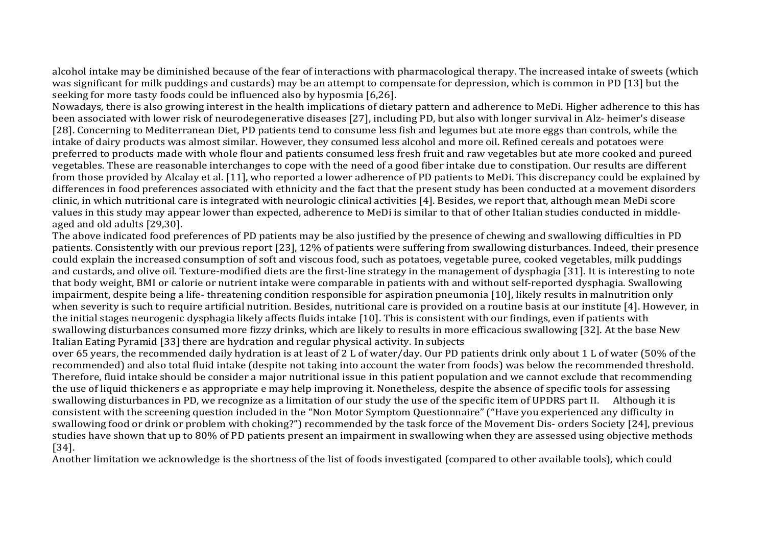alcohol intake may be diminished because of the fear of interactions with pharmacological therapy. The increased intake of sweets (which was significant for milk puddings and custards) may be an attempt to compensate for depression, which is common in PD [13] but the seeking for more tasty foods could be influenced also by hyposmia [6,26].

Nowadays, there is also growing interest in the health implications of dietary pattern and adherence to MeDi. Higher adherence to this has been associated with lower risk of neurodegenerative diseases [27], including PD, but also with longer survival in Alz- heimer's disease [28]. Concerning to Mediterranean Diet, PD patients tend to consume less fish and legumes but ate more eggs than controls, while the intake of dairy products was almost similar. However, they consumed less alcohol and more oil. Refined cereals and potatoes were preferred to products made with whole flour and patients consumed less fresh fruit and raw vegetables but ate more cooked and pureed vegetables. These are reasonable interchanges to cope with the need of a good fiber intake due to constipation. Our results are different from those provided by Alcalay et al. [11], who reported a lower adherence of PD patients to MeDi. This discrepancy could be explained by differences in food preferences associated with ethnicity and the fact that the present study has been conducted at a movement disorders clinic, in which nutritional care is integrated with neurologic clinical activities [4]. Besides, we report that, although mean MeDi score values in this study may appear lower than expected, adherence to MeDi is similar to that of other Italian studies conducted in middleaged and old adults [29,30].

The above indicated food preferences of PD patients may be also justified by the presence of chewing and swallowing difficulties in PD patients. Consistently with our previous report [23], 12% of patients were suffering from swallowing disturbances. Indeed, their presence could explain the increased consumption of soft and viscous food, such as potatoes, vegetable puree, cooked vegetables, milk puddings and custards, and olive oil. Texture-modified diets are the first-line strategy in the management of dysphagia [31]. It is interesting to note that body weight, BMI or calorie or nutrient intake were comparable in patients with and without self-reported dysphagia. Swallowing impairment, despite being a life- threatening condition responsible for aspiration pneumonia [10], likely results in malnutrition only when severity is such to require artificial nutrition. Besides, nutritional care is provided on a routine basis at our institute [4]. However, in the initial stages neurogenic dysphagia likely affects fluids intake [10]. This is consistent with our findings, even if patients with swallowing disturbances consumed more fizzy drinks, which are likely to results in more efficacious swallowing [32]. At the base New Italian Eating Pyramid [33] there are hydration and regular physical activity. In subjects

over 65 years, the recommended daily hydration is at least of 2 L of water/day. Our PD patients drink only about 1 L of water (50% of the recommended) and also total fluid intake (despite not taking into account the water from foods) was below the recommended threshold. Therefore, fluid intake should be consider a major nutritional issue in this patient population and we cannot exclude that recommending the use of liquid thickeners e as appropriate e may help improving it. Nonetheless, despite the absence of specific tools for assessing swallowing disturbances in PD, we recognize as a limitation of our study the use of the specific item of UPDRS part II. Although it is consistent with the screening question included in the "Non Motor Symptom Questionnaire" ("Have you experienced any difficulty in swallowing food or drink or problem with choking?") recommended by the task force of the Movement Dis- orders Society [24], previous studies have shown that up to 80% of PD patients present an impairment in swallowing when they are assessed using objective methods [34].

Another limitation we acknowledge is the shortness of the list of foods investigated (compared to other available tools), which could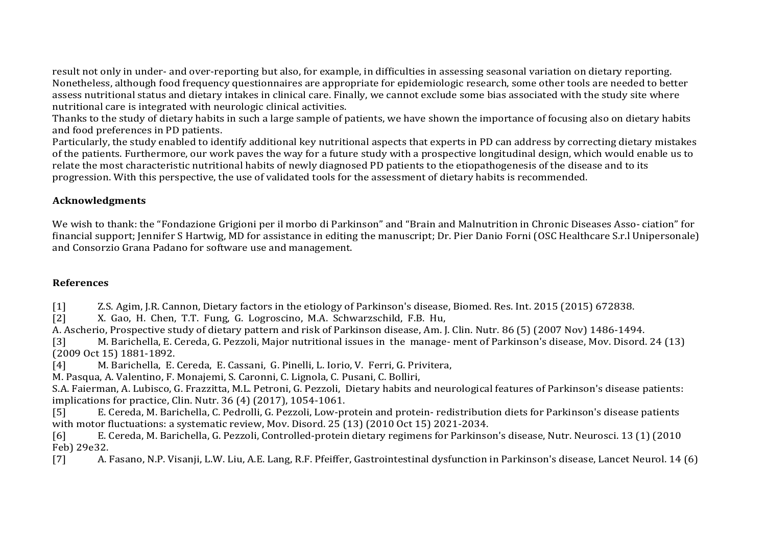result not only in under- and over-reporting but also, for example, in difficulties in assessing seasonal variation on dietary reporting. Nonetheless, although food frequency questionnaires are appropriate for epidemiologic research, some other tools are needed to better assess nutritional status and dietary intakes in clinical care. Finally, we cannot exclude some bias associated with the study site where nutritional care is integrated with neurologic clinical activities.

Thanks to the study of dietary habits in such a large sample of patients, we have shown the importance of focusing also on dietary habits and food preferences in PD patients.

Particularly, the study enabled to identify additional key nutritional aspects that experts in PD can address by correcting dietary mistakes of the patients. Furthermore, our work paves the way for a future study with a prospective longitudinal design, which would enable us to relate the most characteristic nutritional habits of newly diagnosed PD patients to the etiopathogenesis of the disease and to its progression. With this perspective, the use of validated tools for the assessment of dietary habits is recommended.

## **Acknowledgments**

We wish to thank: the "Fondazione Grigioni per il morbo di Parkinson" and "Brain and Malnutrition in Chronic Diseases Asso- ciation" for financial support; Jennifer S Hartwig, MD for assistance in editing the manuscript; Dr. Pier Danio Forni (OSC Healthcare S.r.l Unipersonale) and Consorzio Grana Padano for software use and management.

## **References**

[1] Z.S. Agim, J.R. Cannon, Dietary factors in the etiology of Parkinson's disease, Biomed. Res. Int. 2015 (2015) 672838.<br>[2] X. Gao, H. Chen, T.T. Fung, G. Logroscino, M.A. Schwarzschild, F.B. Hu,

[2] X. Gao, H. Chen, T.T. Fung, G. Logroscino, M.A. Schwarzschild, F.B. Hu,

A. Ascherio, Prospective study of dietary pattern and risk of Parkinson disease, Am. J. Clin. Nutr. 86 (5) (2007 Nov) 1486-1494.

[3] M. Barichella, E. Cereda, G. Pezzoli, Major nutritional issues in the manage- ment of Parkinson's disease, Mov. Disord. 24 (13) (2009 Oct 15) 1881-1892.

[4] M. Barichella, E. Cereda, E. Cassani, G. Pinelli, L. Iorio, V. Ferri, G. Privitera,

M. Pasqua, A. Valentino, F. Monajemi, S. Caronni, C. Lignola, C. Pusani, C. Bolliri,

S.A. Faierman, A. Lubisco, G. Frazzitta, M.L. Petroni, G. Pezzoli, Dietary habits and neurological features of Parkinson's disease patients: implications for practice, Clin. Nutr. 36 (4) (2017), 1054-1061.<br>[5] E. Cereda, M. Barichella, C. Pedrolli, G. Pezzoli, Low-pr

[5] E. Cereda, M. Barichella, C. Pedrolli, G. Pezzoli, Low-protein and protein- redistribution diets for Parkinson's disease patients with motor fluctuations: a systematic review, Mov. Disord. 25 (13) (2010 Oct 15) 2021-2034.<br>
[6] E. Cereda, M. Barichella, G. Pezzoli, Controlled-protein dietary regimens for Parkinsc

[6] E. Cereda, M. Barichella, G. Pezzoli, Controlled-protein dietary regimens for Parkinson's disease, Nutr. Neurosci. 13 (1) (2010

Feb) 29e32.<br>[7] A. [7] A. Fasano, N.P. Visanji, L.W. Liu, A.E. Lang, R.F. Pfeiffer, Gastrointestinal dysfunction in Parkinson's disease, Lancet Neurol. 14 (6)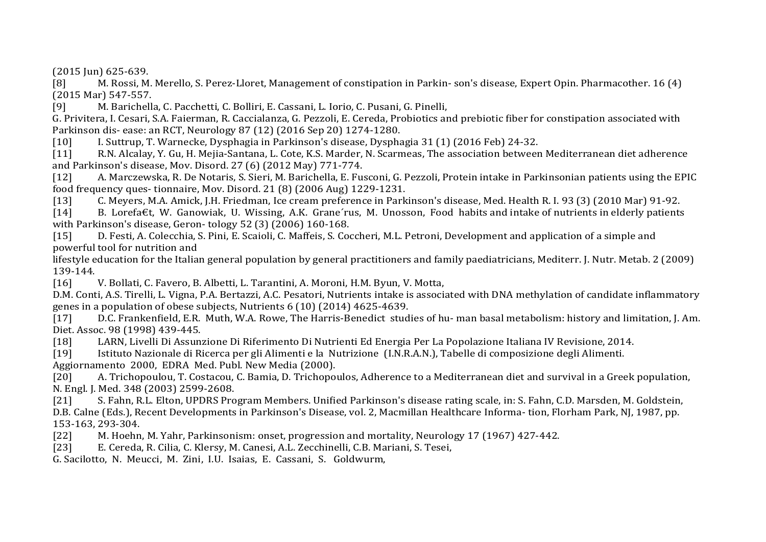(2015 Jun) 625-639.

[8] M. Rossi, M. Merello, S. Perez-Lloret, Management of constipation in Parkin- son's disease, Expert Opin. Pharmacother. 16 (4) (2015 Mar) 547-557.

[9] M. Barichella, C. Pacchetti, C. Bolliri, E. Cassani, L. Iorio, C. Pusani, G. Pinelli,

G. Privitera, I. Cesari, S.A. Faierman, R. Caccialanza, G. Pezzoli, E. Cereda, Probiotics and prebiotic fiber for constipation associated with Parkinson dis- ease: an RCT, Neurology 87 (12) (2016 Sep 20) 1274-1280.<br>[10] L. Suttrup, T. Warnecke, Dysphagia in Parkinson's disease, Dyspha

[10] I. Suttrup, T. Warnecke, Dysphagia in Parkinson's disease, Dysphagia 31 (1) (2016 Feb) 24-32.<br>[11] R.N. Alcalav. Y. Gu. H. Meija-Santana. L. Cote. K.S. Marder. N. Scarmeas. The association betweer

[11] R.N. Alcalay, Y. Gu, H. Mejia-Santana, L. Cote, K.S. Marder, N. Scarmeas, The association between Mediterranean diet adherence and Parkinson's disease, Mov. Disord. 27 (6) (2012 May) 771-774.<br>[12] A. Marczewska, R. De Notaris, S. Sieri, M. Barichella, E. Fus

[12] A. Marczewska, R. De Notaris, S. Sieri, M. Barichella, E. Fusconi, G. Pezzoli, Protein intake in Parkinsonian patients using the EPIC food frequency ques- tionnaire, Mov. Disord. 21 (8) (2006 Aug) 1229-1231.

[13] C. Meyers, M.A. Amick, J.H. Friedman, Ice cream preference in Parkinson's disease, Med. Health R. I. 93 (3) (2010 Mar) 91-92.<br>[14] B. Lorefa€t. W. Ganowiak. U. Wissing. A.K. Grane′rus. M. Unosson. Food habits and int

B. Lorefa€t, W. Ganowiak, U. Wissing, A.K. Grane´rus, M. Unosson, Food habits and intake of nutrients in elderly patients with Parkinson's disease, Geron- tology 52 (3) (2006) 160-168.<br>[15] D. Festi, A. Colecchia, S. Pini, E. Scaioli, C. Maffeis, S. Co.

[15] D. Festi, A. Colecchia, S. Pini, E. Scaioli, C. Maffeis, S. Coccheri, M.L. Petroni, Development and application of a simple and powerful tool for nutrition and

lifestyle education for the Italian general population by general practitioners and family paediatricians, Mediterr. J. Nutr. Metab. 2 (2009) 139-144.<br>[16]

[16] V. Bollati, C. Favero, B. Albetti, L. Tarantini, A. Moroni, H.M. Byun, V. Motta,

D.M. Conti, A.S. Tirelli, L. Vigna, P.A. Bertazzi, A.C. Pesatori, Nutrients intake is associated with DNA methylation of candidate inflammatory genes in a population of obese subjects, Nutrients 6 (10) (2014) 4625-4639.<br>[17] D.C. Frankenfield, E.R. Muth, W.A. Rowe, The Harris-Benedict stud

[17] D.C. Frankenfield, E.R. Muth, W.A. Rowe, The Harris-Benedict studies of hu- man basal metabolism: history and limitation, J. Am. Diet. Assoc. 98 (1998) 439-445.<br>[18] LARN, Livelli Di Assun

[18] LARN, Livelli Di Assunzione Di Riferimento Di Nutrienti Ed Energia Per La Popolazione Italiana IV Revisione, 2014.<br>[19] Istituto Nazionale di Ricerca per gli Alimenti e la Nutrizione (I.N.R.A.N.), Tabelle di composizi

[19] Istituto Nazionale di Ricerca per gli Alimenti e la Nutrizione (I.N.R.A.N.), Tabelle di composizione degli Alimenti.

Aggiornamento 2000, EDRA Med. Publ. New Media (2000).<br>[20] A. Trichopoulou, T. Costacou, C. Bamia, D. Trichopo [20] A. Trichopoulou, T. Costacou, C. Bamia, D. Trichopoulos, Adherence to a Mediterranean diet and survival in a Greek population, N. Engl. J. Med. 348 (2003) 2599-2608.<br>[21] S. Fahn. R.L. Elton. UPDRS Pro

[21] S. Fahn, R.L. Elton, UPDRS Program Members. Unified Parkinson's disease rating scale, in: S. Fahn, C.D. Marsden, M. Goldstein, D.B. Calne (Eds.), Recent Developments in Parkinson's Disease, vol. 2, Macmillan Healthcare Informa- tion, Florham Park, NJ, 1987, pp. 153-163, 293-304.<br>[22] M. Hoehn

[22] M. Hoehn, M. Yahr, Parkinsonism: onset, progression and mortality, Neurology 17 (1967) 427-442.<br>[23] E. Cereda, R. Cilia, C. Klersy, M. Canesi, A.L. Zecchinelli, C.B. Mariani, S. Tesei.

[23] E. Cereda, R. Cilia, C. Klersy, M. Canesi, A.L. Zecchinelli, C.B. Mariani, S. Tesei,

G. Sacilotto, N. Meucci, M. Zini, I.U. Isaias, E. Cassani, S. Goldwurm,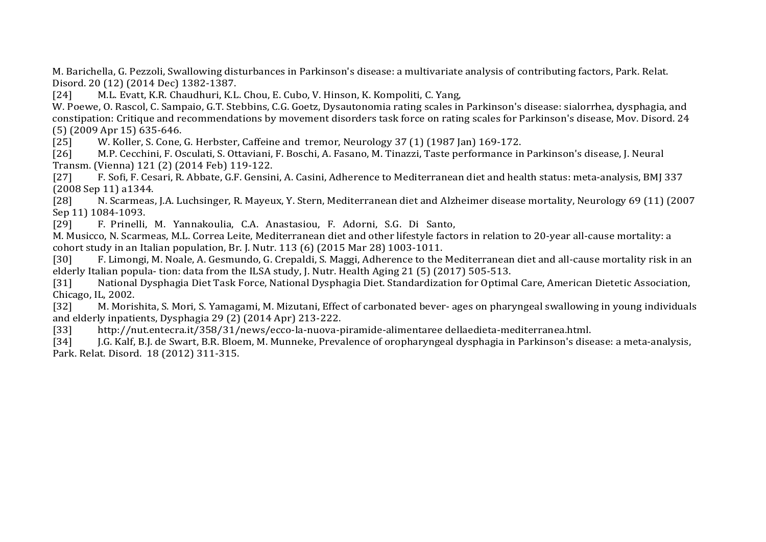M. Barichella, G. Pezzoli, Swallowing disturbances in Parkinson's disease: a multivariate analysis of contributing factors, Park. Relat. Disord. 20 (12) (2014 Dec) 1382-1387.<br>[24] M.L. Evatt. K.R. Chaudhuri. K.L.

[24] M.L. Evatt, K.R. Chaudhuri, K.L. Chou, E. Cubo, V. Hinson, K. Kompoliti, C. Yang,

W. Poewe, O. Rascol, C. Sampaio, G.T. Stebbins, C.G. Goetz, Dysautonomia rating scales in Parkinson's disease: sialorrhea, dysphagia, and constipation: Critique and recommendations by movement disorders task force on rating scales for Parkinson's disease, Mov. Disord. 24 (5) (2009 Apr 15) 635-646.

[25] W. Koller, S. Cone, G. Herbster, Caffeine and tremor, Neurology 37 (1) (1987 Jan) 169-172.<br>[26] M.P. Cecchini, F. Osculati, S. Ottaviani, F. Boschi, A. Fasano, M. Tinazzi, Taste performance in

[26] M.P. Cecchini, F. Osculati, S. Ottaviani, F. Boschi, A. Fasano, M. Tinazzi, Taste performance in Parkinson's disease, J. Neural Transm. (Vienna) 121 (2) (2014 Feb) 119-122.<br>[27] F. Sofi, F. Cesari, R. Abbate, G.F. Gensin

[27] F. Sofi, F. Cesari, R. Abbate, G.F. Gensini, A. Casini, Adherence to Mediterranean diet and health status: meta-analysis, BMJ 337 (2008 Sep 11) a1344.

[28] N. Scarmeas, J.A. Luchsinger, R. Mayeux, Y. Stern, Mediterranean diet and Alzheimer disease mortality, Neurology 69 (11) (2007 Sep 11) 1084-1093.<br>[29] F. Prinelli.

F. Prinelli, M. Yannakoulia, C.A. Anastasiou, F. Adorni, S.G. Di Santo,

M. Musicco, N. Scarmeas, M.L. Correa Leite, Mediterranean diet and other lifestyle factors in relation to 20-year all-cause mortality: a cohort study in an Italian population, Br. J. Nutr. 113 (6) (2015 Mar 28) 1003-1011.<br>[30] F. Limongi, M. Noale, A. Gesmundo, G. Crepaldi, S. Maggi, Adherence to the

[30] F. Limongi, M. Noale, A. Gesmundo, G. Crepaldi, S. Maggi, Adherence to the Mediterranean diet and all-cause mortality risk in an elderly Italian popula- tion: data from the ILSA study, J. Nutr. Health Aging 21 (5) (2017) 505-513.<br>[31] National Dysphagia Diet Task Force, National Dysphagia Diet. Standardization for Optima

National Dysphagia Diet Task Force, National Dysphagia Diet. Standardization for Optimal Care, American Dietetic Association, Chicago, IL, 2002.<br>[32] M. Moris

[32] M. Morishita, S. Mori, S. Yamagami, M. Mizutani, Effect of carbonated bever- ages on pharyngeal swallowing in young individuals and elderly inpatients, Dysphagia 29 (2) (2014 Apr) 213-222.<br>
[33] http://nut.entecra.it/358/31/news/ecco-la-nuova-r

[33] http://nut.entecra.it/358/31/news/ecco-la-nuova-piramide-alimentaree dellaedieta-mediterranea.html.<br>[34] J.G. Kalf, B.J. de Swart, B.R. Bloem, M. Munneke, Prevalence of oropharyngeal dysphagia in Parkinson's dise

[34] J.G. Kalf, B.J. de Swart, B.R. Bloem, M. Munneke, Prevalence of oropharyngeal dysphagia in Parkinson's disease: a meta-analysis, Park. Relat. Disord. 18 (2012) 311-315.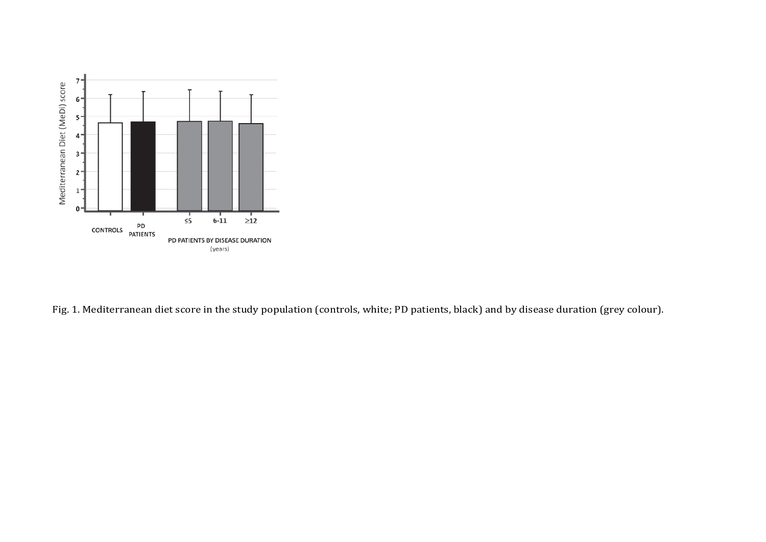

Fig. 1. Mediterranean diet score in the study population (controls, white; PD patients, black) and by disease duration (grey colour).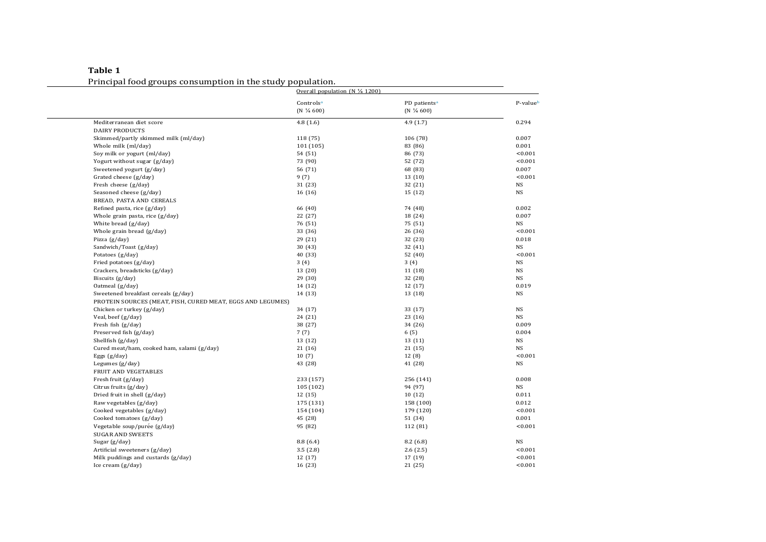**Table 1** Principal foodgroups consumption in the study population.

|                                                            | Overall population (N $\frac{1}{4}$ 1200) |                                                   |           |
|------------------------------------------------------------|-------------------------------------------|---------------------------------------------------|-----------|
|                                                            | Controlsa<br>$(N\frac{1}{4}600)$          | PD patients <sup>a</sup><br>$(N \frac{1}{4} 600)$ | P-valueb  |
| Mediterranean diet score                                   | 4.8(1.6)                                  | 4.9(1.7)                                          | 0.294     |
| <b>DAIRY PRODUCTS</b>                                      |                                           |                                                   |           |
| Skimmed/partly skimmed milk (ml/day)                       | 118 (75)                                  | 106 (78)                                          | 0.007     |
| Whole milk (ml/day)                                        | 101 (105)                                 | 83 (86)                                           | 0.001     |
| Soy milk or yogurt (ml/day)                                | 54 (51)                                   | 86 (73)                                           | < 0.001   |
| Yogurt without sugar (g/day)                               | 73 (90)                                   | 52 (72)                                           | < 0.001   |
| Sweetened yogurt (g/day)                                   | 56 (71)                                   | 68 (83)                                           | 0.007     |
| Grated cheese (g/day)                                      | 9(7)                                      | 13 (10)                                           | < 0.001   |
| Fresh cheese (g/day)                                       | 31 (23)                                   | 32 (21)                                           | <b>NS</b> |
| Seasoned cheese (g/day)                                    | 16 (16)                                   | 15 (12)                                           | <b>NS</b> |
| BREAD, PASTA AND CEREALS                                   |                                           |                                                   |           |
| Refined pasta, rice (g/day)                                | 66 (40)                                   | 74 (48)                                           | 0.002     |
| Whole grain pasta, rice (g/day)                            | 22 (27)                                   | 18 (24)                                           | 0.007     |
| White bread (g/day)                                        | 76 (51)                                   | 75 (51)                                           | <b>NS</b> |
| Whole grain bread (g/day)                                  | 33 (36)                                   | 26 (36)                                           | < 0.001   |
| Pizza (g/day)                                              | 29 (21)                                   | 32 (23)                                           | 0.018     |
| Sandwich/Toast (g/day)                                     | 30(43)                                    | 32 (41)                                           | <b>NS</b> |
| Potatoes (g/day)                                           | 40 (33)                                   | 52 (40)                                           | < 0.001   |
| Fried potatoes (g/day)                                     | 3(4)                                      | 3(4)                                              | NS        |
| Crackers, breadsticks (g/day)                              | 13 (20)                                   | 11 (18)                                           | <b>NS</b> |
| Biscuits (g/day)                                           | 29 (30)                                   | 32 (28)                                           | <b>NS</b> |
| Oatmeal (g/day)                                            | 14 (12)                                   | 12 (17)                                           | 0.019     |
| Sweetened breakfast cereals (g/day)                        | 14 (13)                                   | 13 (18)                                           | NS        |
| PROTEIN SOURCES (MEAT, FISH, CURED MEAT, EGGS AND LEGUMES) |                                           |                                                   |           |
| Chicken or turkey (g/day)                                  | 34 (17)                                   | 33 (17)                                           | NS        |
| Veal, beef (g/day)                                         | 24 (21)                                   | 23(16)                                            | <b>NS</b> |
| Fresh fish (g/day)                                         | 38 (27)                                   | 34 (26)                                           | 0.009     |
| Preserved fish (g/day)                                     | 7(7)                                      | 6(5)                                              | 0.004     |
| Shellfish (g/day)                                          | 13 (12)                                   | 13 (11)                                           | NS        |
| Cured meat/ham, cooked ham, salami (g/day)                 | 21 (16)                                   | 21 (15)                                           | <b>NS</b> |
| Eggs $(g/day)$                                             | 10(7)                                     | 12(8)                                             | < 0.001   |
| Legumes (g/day)                                            | 43 (28)                                   | 41 (28)                                           | <b>NS</b> |
| FRUIT AND VEGETABLES                                       |                                           |                                                   |           |
| Fresh fruit (g/day)                                        | 233 (157)                                 | 256 (141)                                         | 0.008     |
| Citrus fruits (g/day)                                      | 105 (102)                                 | 94 (97)                                           | NS        |
| Dried fruit in shell (g/day)                               | 12 (15)                                   | 10 (12)                                           | 0.011     |
| Raw vegetables (g/day)                                     | 175 (131)                                 | 158 (100)                                         | 0.012     |
| Cooked vegetables (g/day)                                  | 154 (104)                                 | 179 (120)                                         | < 0.001   |
| Cooked tomatoes (g/day)                                    | 45 (28)                                   | 51 (34)                                           | 0.001     |
| Vegetable soup/purée (g/day)                               | 95 (82)                                   | 112 (81)                                          | < 0.001   |
| <b>SUGAR AND SWEETS</b>                                    |                                           |                                                   |           |
| Sugar (g/day)                                              | 8.8(6.4)                                  | 8.2(6.8)                                          | <b>NS</b> |
| Artificial sweeteners (g/day)                              | 3.5(2.8)                                  | 2.6(2.5)                                          | < 0.001   |
| Milk puddings and custards (g/day)                         | 12 (17)                                   | 17 (19)                                           | < 0.001   |
| Ice cream (g/day)                                          | 16 (23)                                   | 21 (25)                                           | < 0.001   |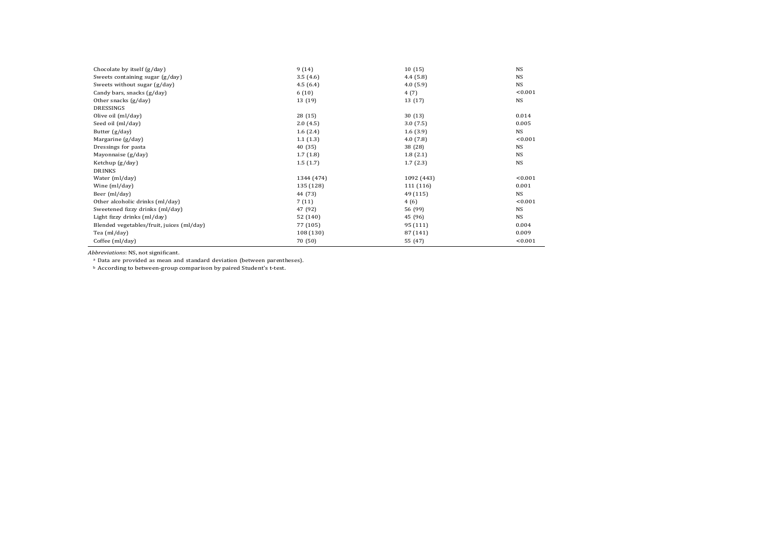| Chocolate by itself (g/day)               | 9(14)      | 10(15)     | <b>NS</b> |
|-------------------------------------------|------------|------------|-----------|
| Sweets containing sugar (g/day)           | 3.5(4.6)   | 4.4(5.8)   | <b>NS</b> |
| Sweets without sugar (g/day)              | 4.5(6.4)   | 4.0(5.9)   | <b>NS</b> |
| Candy bars, snacks (g/day)                | 6(10)      | 4(7)       | < 0.001   |
| Other snacks (g/day)                      | 13 (19)    | 13 (17)    | <b>NS</b> |
| DRESSINGS                                 |            |            |           |
| Olive oil (ml/day)                        | 28(15)     | 30(13)     | 0.014     |
| Seed oil (ml/day)                         | 2.0(4.5)   | 3.0(7.5)   | 0.005     |
| Butter $(g/day)$                          | 1.6(2.4)   | 1.6(3.9)   | NS        |
| Margarine (g/day)                         | 1.1(1.3)   | 4.0(7.8)   | < 0.001   |
| Dressings for pasta                       | 40 (35)    | 38 (28)    | <b>NS</b> |
| Mayonnaise (g/day)                        | 1.7(1.8)   | 1.8(2.1)   | <b>NS</b> |
| Ketchup (g/day)                           | 1.5(1.7)   | 1.7(2.3)   | <b>NS</b> |
| <b>DRINKS</b>                             |            |            |           |
| Water (ml/day)                            | 1344 (474) | 1092 (443) | < 0.001   |
| Wine (ml/day)                             | 135 (128)  | 111 (116)  | 0.001     |
| Beer (ml/day)                             | 44 (73)    | 49 (115)   | NS.       |
| Other alcoholic drinks (ml/day)           | 7(11)      | 4(6)       | < 0.001   |
| Sweetened fizzy drinks (ml/day)           | 47 (92)    | 56 (99)    | <b>NS</b> |
| Light fizzy drinks (ml/day)               | 52 (140)   | 45 (96)    | <b>NS</b> |
| Blended vegetables/fruit, juices (ml/day) | 77 (105)   | 95 (111)   | 0.004     |
| Tea (ml/day)                              | 108 (130)  | 87 (141)   | 0.009     |
| Coffee (ml/day)                           | 70 (50)    | 55 (47)    | < 0.001   |

<span id="page-12-0"></span>*Abbreviations*: NS, not significant.

<span id="page-12-1"></span><sup>a</sup> Data are provided as mean and standard deviation (between parentheses).

<sup>b</sup> According to between-group comparison by paired Student's t-test.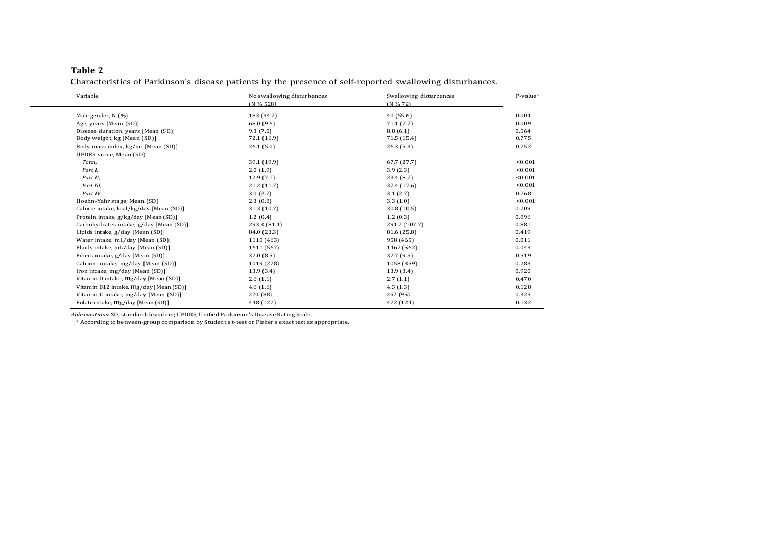### **Table 2**

Characteristics of Parkinson's disease patients by the presence of self-reported swallowing disturbances.

| Variable           |                                                | No swallowing disturbances | Swallowing disturbances | P-value <sup>a</sup> |
|--------------------|------------------------------------------------|----------------------------|-------------------------|----------------------|
|                    |                                                | (N % 528)                  | $(N\frac{1}{4}72)$      |                      |
| Male gender, N (%) |                                                | 183 (34.7)                 | 40(55.6)                | 0.001                |
|                    | Age, years [Mean (SD)]                         | 68.0 (9.6)                 | 71.1(7.7)               | 0.009                |
|                    | Disease duration, years [Mean (SD)]            | 9.3(7.0)                   | 8.8(6.1)                | 0.564                |
|                    | Body weight, kg [Mean (SD)]                    | 72.1 (16.9)                | 71.5 (15.4)             | 0.775                |
|                    | Body mass index, kg/m <sup>2</sup> [Mean (SD)] | 26.1(5.0)                  | 26.3(5.3)               | 0.752                |
|                    | UPDRS score, Mean (SD)                         |                            |                         |                      |
| Total,             |                                                | 39.1 (19.9)                | 67.7(27.7)              | < 0.001              |
| Part I,            |                                                | 2.0(1.9)                   | 3.9(2.3)                | < 0.001              |
| Part II,           |                                                | 12.9(7.1)                  | 23.4 (8.7)              | < 0.001              |
| Part III,          |                                                | 21.2 (11.7)                | 37.4 (17.6)             | < 0.001              |
| Part IV            |                                                | 3.0(2.7)                   | 3.1(2.7)                | 0.768                |
|                    | Hoehn-Yahr stage, Mean (SD)                    | 2.3(0.8)                   | 3.3(1.0)                | < 0.001              |
|                    | Calorie intake, kcal/kg/day [Mean (SD)]        | 31.3 (10.7)                | 30.8(10.5)              | 0.709                |
|                    | Protein intake, g/kg/day [Mean (SD)]           | 1.2(0.4)                   | 1.2(0.3)                | 0.896                |
|                    | Carbohydrates intake, g/day [Mean (SD)]        | 293.3 (81.4)               | 291.7 (107.7)           | 0.881                |
|                    | Lipids intake, g/day [Mean (SD)]               | 84.0 (23.3)                | 81.6 (25.8)             | 0.419                |
|                    | Water intake, mL/day [Mean (SD)]               | 1110 (463)                 | 958 (465)               | 0.011                |
|                    | Fluids intake, mL/day [Mean (SD)]              | 1611 (567)                 | 1467 (562)              | 0.043                |
|                    | Fibers intake, g/day [Mean (SD)]               | 32.0 (8.5)                 | 32.7 (9.5)              | 0.519                |
|                    | Calcium intake, mg/day [Mean (SD)]             | 1019 (278)                 | 1058 (359)              | 0.283                |
|                    | Iron intake, mg/day [Mean (SD)]                | 13.9(3.4)                  | 13.9(3.4)               | 0.920                |
|                    | Vitamin D intake, mg/day [Mean (SD)]           | 2.6(1.1)                   | 2.7(1.1)                | 0.470                |
|                    | Vitamin B12 intake, mg/day [Mean (SD)]         | 4.6(1.6)                   | 4.3(1.3)                | 0.128                |
|                    | Vitamin C intake, mg/day [Mean (SD)]           | 220 (88)                   | 252 (95)                | 0.325                |
|                    | Folate intake, mg/day [Mean (SD)]              | 448 (127)                  | 472 (124)               | 0.132                |

<span id="page-13-0"></span>*Abbreviations*: SD, standard deviation; UPDRS, Unified Parkinson's Disease Rating Scale.

<sup>a</sup> According to between-group comparison by Student's t-test or Fisher's exact test as appropriate.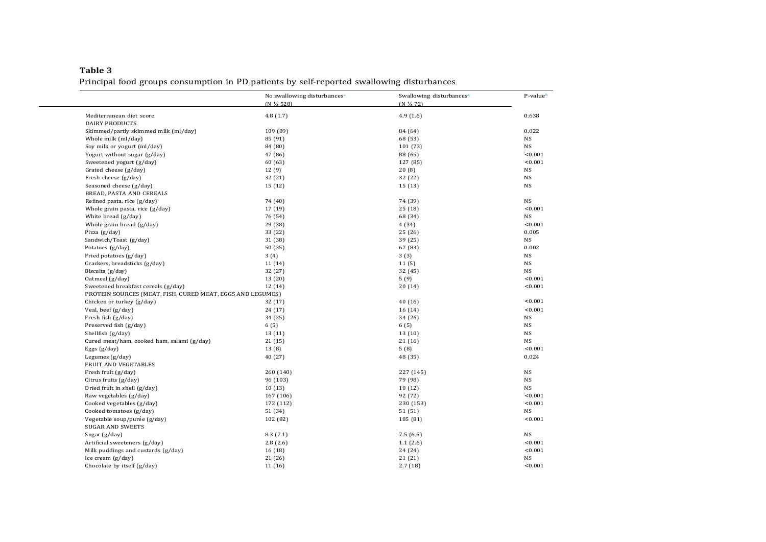## **Table 3** Principal food groups consumption in PD patients by self-reported swallowing disturbances.

|                                                            | No swallowing disturbances <sup>a</sup><br>(N % 528) | Swallowing disturbances <sup>a</sup><br>(N % 72) | P-valueb  |
|------------------------------------------------------------|------------------------------------------------------|--------------------------------------------------|-----------|
| Mediterranean diet score                                   | 4.8(1.7)                                             | 4.9(1.6)                                         | 0.638     |
| <b>DAIRY PRODUCTS</b>                                      |                                                      |                                                  |           |
| Skimmed/partly skimmed milk (ml/day)                       | 109 (89)                                             | 84 (64)                                          | 0.022     |
| Whole milk (ml/day)                                        | 85 (91)                                              | 68 (53)                                          | NS        |
| Soy milk or yogurt (ml/day)                                | 84 (80)                                              | 101 (73)                                         | <b>NS</b> |
| Yogurt without sugar (g/day)                               | 47 (86)                                              | 88 (65)                                          | < 0.001   |
|                                                            |                                                      |                                                  | < 0.001   |
| Sweetened yogurt (g/day)<br>Grated cheese (g/day)          | 60 (63)<br>12(9)                                     | 127 (85)<br>20(8)                                | NS        |
|                                                            |                                                      |                                                  |           |
| Fresh cheese (g/day)                                       | 32 (21)                                              | 32 (22)                                          | NS        |
| Seasoned cheese (g/day)                                    | 15 (12)                                              | 15(13)                                           | NS        |
| BREAD, PASTA AND CEREALS                                   |                                                      |                                                  |           |
| Refined pasta, rice (g/day)                                | 74 (40)                                              | 74 (39)                                          | NS        |
| Whole grain pasta, rice (g/day)                            | 17 (19)                                              | 25(18)                                           | < 0.001   |
| White bread (g/day)                                        | 76 (54)                                              | 68 (34)                                          | NS        |
| Whole grain bread (g/day)                                  | 29 (38)                                              | 4 (34)                                           | < 0.001   |
| Pizza (g/day)                                              | 33 (22)                                              | 25 (26)                                          | 0.005     |
| Sandwich/Toast (g/day)                                     | 31 (38)                                              | 39 (25)                                          | NS        |
| Potatoes (g/day)                                           | 50 (35)                                              | 67 (83)                                          | 0.002     |
| Fried potatoes (g/day)                                     | 3(4)                                                 | 3(3)                                             | NS        |
| Crackers, breadsticks (g/day)                              | 11 (14)                                              | 11(5)                                            | <b>NS</b> |
| Biscuits (g/day)                                           | 32 (27)                                              | 32 (45)                                          | NS        |
| Oatmeal (g/day)                                            | 13 (20)                                              | 5(9)                                             | < 0.001   |
| Sweetened breakfast cereals (g/day)                        | 12 (14)                                              | 20(14)                                           | < 0.001   |
| PROTEIN SOURCES (MEAT, FISH, CURED MEAT, EGGS AND LEGUMES) |                                                      |                                                  |           |
| Chicken or turkey (g/day)                                  | 32 (17)                                              | 40 (16)                                          | < 0.001   |
| Veal, beef (g/day)                                         | 24 (17)                                              | 16(14)                                           | < 0.001   |
| Fresh fish (g/day)                                         | 34 (25)                                              | 34 (26)                                          | <b>NS</b> |
| Preserved fish (g/day)                                     | 6(5)                                                 | 6(5)                                             | NS        |
| Shellfish (g/day)                                          | 13 (11)                                              | 13(10)                                           | NS        |
| Cured meat/ham, cooked ham, salami (g/day)                 | 21(15)                                               | 21(16)                                           | <b>NS</b> |
| Eggs $(g/day)$                                             | 13(8)                                                | 5(8)                                             | < 0.001   |
| Legumes (g/day)                                            | 40 (27)                                              | 48 (35)                                          | 0.024     |
| FRUIT AND VEGETABLES                                       |                                                      |                                                  |           |
| Fresh fruit (g/day)                                        | 260 (140)                                            | 227 (145)                                        | <b>NS</b> |
| Citrus fruits (g/day)                                      | 96 (103)                                             | 79 (98)                                          | NS        |
| Dried fruit in shell (g/day)                               | 10(13)                                               | 10(12)                                           | <b>NS</b> |
| Raw vegetables (g/day)                                     | 167 (106)                                            | 92 (72)                                          | < 0.001   |
| Cooked vegetables (g/day)                                  | 172 (112)                                            | 230 (153)                                        | < 0.001   |
| Cooked tomatoes (g/day)                                    | 51 (34)                                              | 51 (51)                                          | NS        |
| Vegetable soup/purée (g/day)                               | 102 (82)                                             | 185 (81)                                         | < 0.001   |
| <b>SUGAR AND SWEETS</b>                                    |                                                      |                                                  |           |
|                                                            |                                                      |                                                  | <b>NS</b> |
| Sugar (g/day)                                              | 8.3(7.1)                                             | 7.5(6.5)                                         |           |
| Artificial sweeteners (g/day)                              | 2.8(2.6)                                             | 1.1(2.6)                                         | < 0.001   |
| Milk puddings and custards (g/day)                         | 16 (18)                                              | 24 (24)                                          | < 0.001   |
| Ice cream (g/day)                                          | 21 (26)                                              | 21 (21)                                          | NS        |
| Chocolate by itself (g/day)                                | 11 (16)                                              | 2.7(18)                                          | < 0.001   |